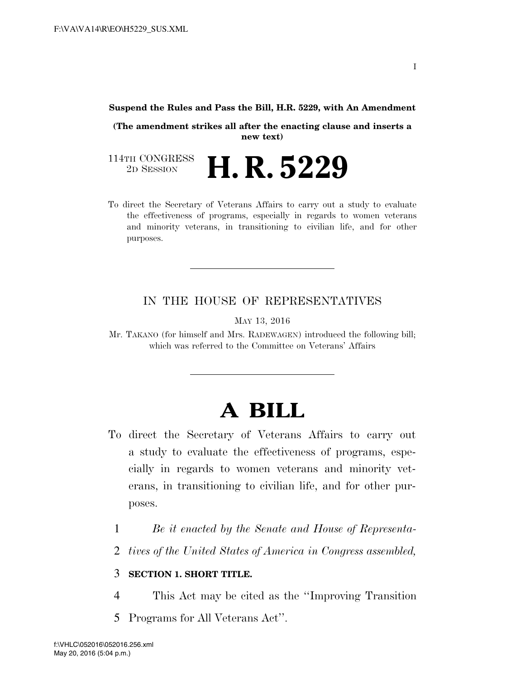#### **Suspend the Rules and Pass the Bill, H.R. 5229, with An Amendment**

**(The amendment strikes all after the enacting clause and inserts a new text)** 

114TH CONGRESS<br>2D SESSION 2D SESSION **H. R. 5229** 

To direct the Secretary of Veterans Affairs to carry out a study to evaluate the effectiveness of programs, especially in regards to women veterans and minority veterans, in transitioning to civilian life, and for other purposes.

#### IN THE HOUSE OF REPRESENTATIVES

MAY 13, 2016

Mr. TAKANO (for himself and Mrs. RADEWAGEN) introduced the following bill; which was referred to the Committee on Veterans' Affairs

# **A BILL**

- To direct the Secretary of Veterans Affairs to carry out a study to evaluate the effectiveness of programs, especially in regards to women veterans and minority veterans, in transitioning to civilian life, and for other purposes.
	- 1 *Be it enacted by the Senate and House of Representa-*
	- 2 *tives of the United States of America in Congress assembled,*

#### 3 **SECTION 1. SHORT TITLE.**

- 4 This Act may be cited as the ''Improving Transition
- 5 Programs for All Veterans Act''.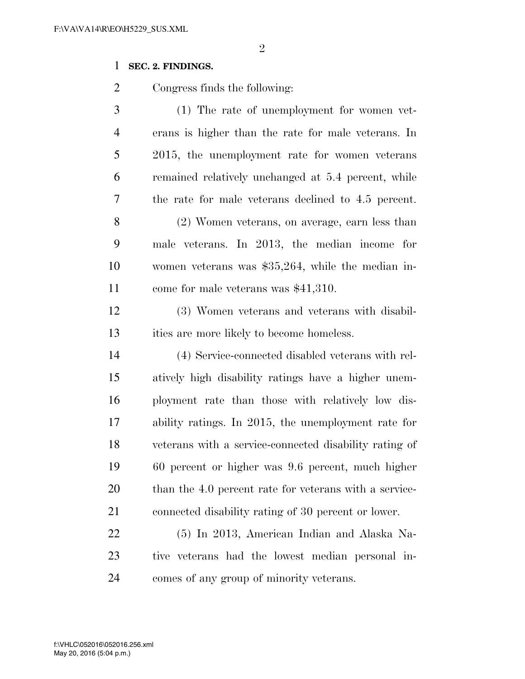### 

## **SEC. 2. FINDINGS.**

Congress finds the following:

| 3              | (1) The rate of unemployment for women vet-            |
|----------------|--------------------------------------------------------|
| $\overline{4}$ | erans is higher than the rate for male veterans. In    |
| 5              | 2015, the unemployment rate for women veterans         |
| 6              | remained relatively unchanged at 5.4 percent, while    |
| 7              | the rate for male veterans declined to 4.5 percent.    |
| 8              | (2) Women veterans, on average, earn less than         |
| 9              | male veterans. In 2013, the median income for          |
| 10             | women veterans was $$35,264$ , while the median in-    |
| 11             | come for male veterans was \$41,310.                   |
| 12             | (3) Women veterans and veterans with disabil-          |
| 13             | ities are more likely to become homeless.              |
| 14             | (4) Service-connected disabled veterans with rel-      |
| 15             | atively high disability ratings have a higher unem-    |
| 16             | ployment rate than those with relatively low dis-      |
| 17             | ability ratings. In 2015, the unemployment rate for    |
| 18             | veterans with a service-connected disability rating of |
| 19             | 60 percent or higher was 9.6 percent, much higher      |
| 20             | than the 4.0 percent rate for veterans with a service- |
| 21             | connected disability rating of 30 percent or lower.    |
| 22             | (5) In 2013, American Indian and Alaska Na-            |
| 23             | tive veterans had the lowest median personal in-       |

comes of any group of minority veterans.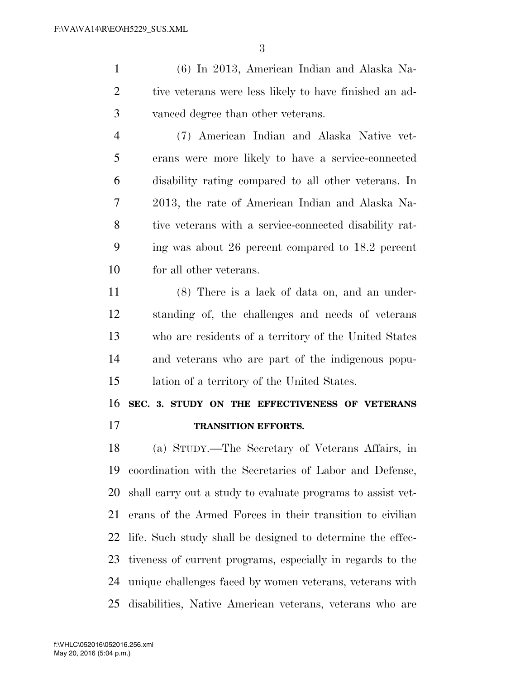(6) In 2013, American Indian and Alaska Na-2 tive veterans were less likely to have finished an ad-vanced degree than other veterans.

 (7) American Indian and Alaska Native vet- erans were more likely to have a service-connected disability rating compared to all other veterans. In 2013, the rate of American Indian and Alaska Na- tive veterans with a service-connected disability rat- ing was about 26 percent compared to 18.2 percent for all other veterans.

 (8) There is a lack of data on, and an under- standing of, the challenges and needs of veterans who are residents of a territory of the United States and veterans who are part of the indigenous popu-lation of a territory of the United States.

 **SEC. 3. STUDY ON THE EFFECTIVENESS OF VETERANS TRANSITION EFFORTS.** 

 (a) STUDY.—The Secretary of Veterans Affairs, in coordination with the Secretaries of Labor and Defense, shall carry out a study to evaluate programs to assist vet- erans of the Armed Forces in their transition to civilian life. Such study shall be designed to determine the effec- tiveness of current programs, especially in regards to the unique challenges faced by women veterans, veterans with disabilities, Native American veterans, veterans who are

May 20, 2016 (5:04 p.m.) f:\VHLC\052016\052016.256.xml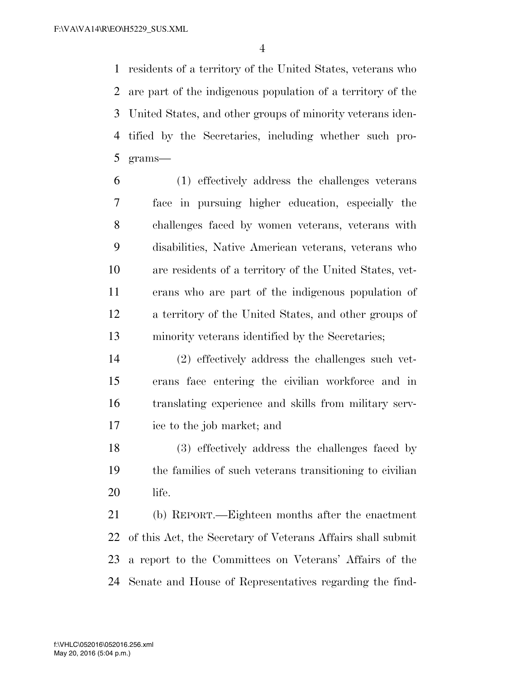residents of a territory of the United States, veterans who are part of the indigenous population of a territory of the United States, and other groups of minority veterans iden- tified by the Secretaries, including whether such pro-grams—

 (1) effectively address the challenges veterans face in pursuing higher education, especially the challenges faced by women veterans, veterans with disabilities, Native American veterans, veterans who are residents of a territory of the United States, vet- erans who are part of the indigenous population of a territory of the United States, and other groups of minority veterans identified by the Secretaries;

 (2) effectively address the challenges such vet- erans face entering the civilian workforce and in translating experience and skills from military serv-ice to the job market; and

 (3) effectively address the challenges faced by the families of such veterans transitioning to civilian life.

 (b) REPORT.—Eighteen months after the enactment of this Act, the Secretary of Veterans Affairs shall submit a report to the Committees on Veterans' Affairs of the Senate and House of Representatives regarding the find